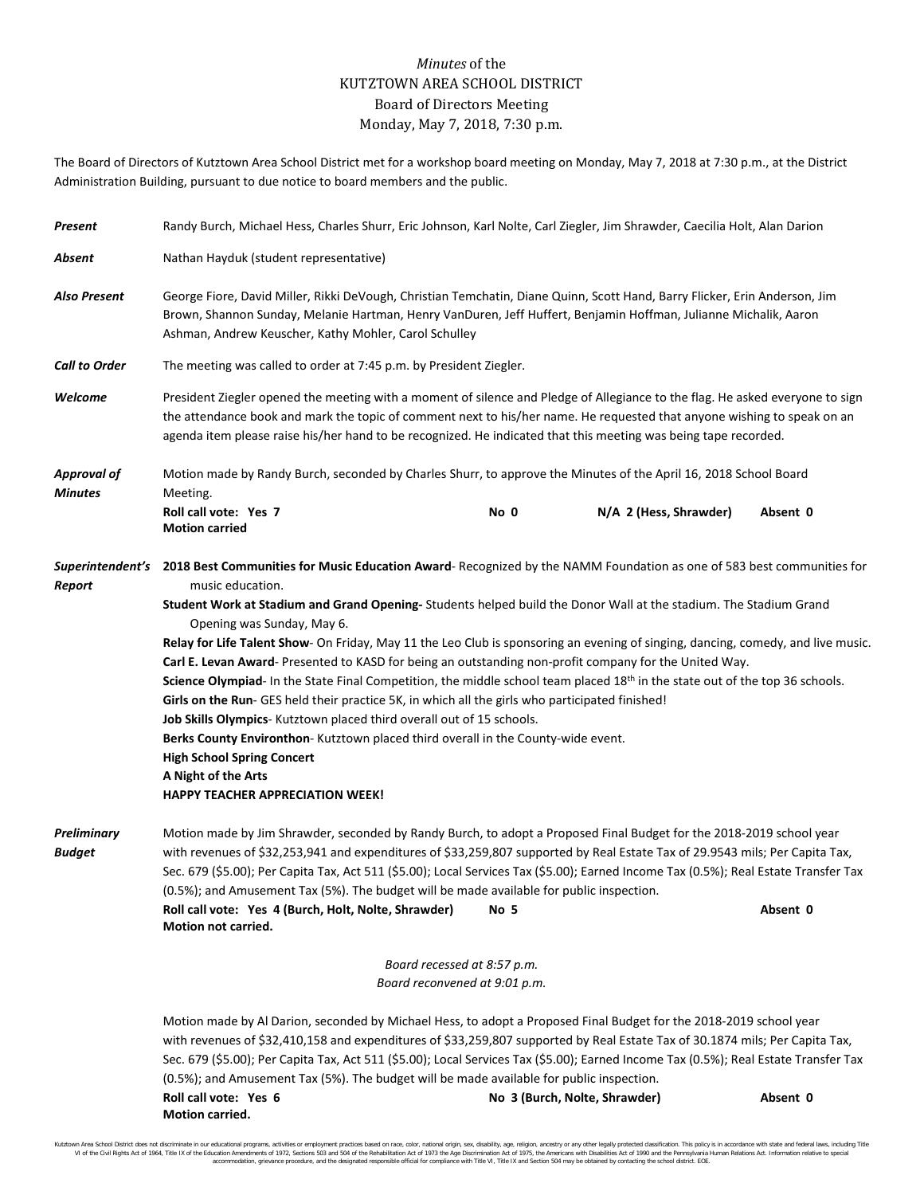## *Minutes* of the KUTZTOWN AREA SCHOOL DISTRICT Board of Directors Meeting Monday, May 7, 2018, 7:30 p.m.

The Board of Directors of Kutztown Area School District met for a workshop board meeting on Monday, May 7, 2018 at 7:30 p.m., at the District Administration Building, pursuant to due notice to board members and the public.

| Present                              | Randy Burch, Michael Hess, Charles Shurr, Eric Johnson, Karl Nolte, Carl Ziegler, Jim Shrawder, Caecilia Holt, Alan Darion                                                                                                                                                                                                                                                                                                                                                                                                                                                                                                                                                                                                                                                                                                                                                                                                                                                                                                                                                    |                                                                                                                  |                        |          |  |
|--------------------------------------|-------------------------------------------------------------------------------------------------------------------------------------------------------------------------------------------------------------------------------------------------------------------------------------------------------------------------------------------------------------------------------------------------------------------------------------------------------------------------------------------------------------------------------------------------------------------------------------------------------------------------------------------------------------------------------------------------------------------------------------------------------------------------------------------------------------------------------------------------------------------------------------------------------------------------------------------------------------------------------------------------------------------------------------------------------------------------------|------------------------------------------------------------------------------------------------------------------|------------------------|----------|--|
| Absent                               | Nathan Hayduk (student representative)                                                                                                                                                                                                                                                                                                                                                                                                                                                                                                                                                                                                                                                                                                                                                                                                                                                                                                                                                                                                                                        |                                                                                                                  |                        |          |  |
| <b>Also Present</b>                  | George Fiore, David Miller, Rikki DeVough, Christian Temchatin, Diane Quinn, Scott Hand, Barry Flicker, Erin Anderson, Jim<br>Brown, Shannon Sunday, Melanie Hartman, Henry VanDuren, Jeff Huffert, Benjamin Hoffman, Julianne Michalik, Aaron<br>Ashman, Andrew Keuscher, Kathy Mohler, Carol Schulley                                                                                                                                                                                                                                                                                                                                                                                                                                                                                                                                                                                                                                                                                                                                                                       |                                                                                                                  |                        |          |  |
| <b>Call to Order</b>                 | The meeting was called to order at 7:45 p.m. by President Ziegler.                                                                                                                                                                                                                                                                                                                                                                                                                                                                                                                                                                                                                                                                                                                                                                                                                                                                                                                                                                                                            |                                                                                                                  |                        |          |  |
| Welcome                              | President Ziegler opened the meeting with a moment of silence and Pledge of Allegiance to the flag. He asked everyone to sign<br>the attendance book and mark the topic of comment next to his/her name. He requested that anyone wishing to speak on an<br>agenda item please raise his/her hand to be recognized. He indicated that this meeting was being tape recorded.                                                                                                                                                                                                                                                                                                                                                                                                                                                                                                                                                                                                                                                                                                   |                                                                                                                  |                        |          |  |
| <b>Approval of</b><br><b>Minutes</b> | Meeting.                                                                                                                                                                                                                                                                                                                                                                                                                                                                                                                                                                                                                                                                                                                                                                                                                                                                                                                                                                                                                                                                      | Motion made by Randy Burch, seconded by Charles Shurr, to approve the Minutes of the April 16, 2018 School Board |                        |          |  |
|                                      | Roll call vote: Yes 7<br><b>Motion carried</b>                                                                                                                                                                                                                                                                                                                                                                                                                                                                                                                                                                                                                                                                                                                                                                                                                                                                                                                                                                                                                                | No 0                                                                                                             | N/A 2 (Hess, Shrawder) | Absent 0 |  |
| Report                               | Superintendent's 2018 Best Communities for Music Education Award-Recognized by the NAMM Foundation as one of 583 best communities for<br>music education.<br>Student Work at Stadium and Grand Opening- Students helped build the Donor Wall at the stadium. The Stadium Grand<br>Opening was Sunday, May 6.<br>Relay for Life Talent Show- On Friday, May 11 the Leo Club is sponsoring an evening of singing, dancing, comedy, and live music.<br>Carl E. Levan Award- Presented to KASD for being an outstanding non-profit company for the United Way.<br>Science Olympiad- In the State Final Competition, the middle school team placed 18 <sup>th</sup> in the state out of the top 36 schools.<br>Girls on the Run- GES held their practice 5K, in which all the girls who participated finished!<br>Job Skills Olympics- Kutztown placed third overall out of 15 schools.<br>Berks County Environthon-Kutztown placed third overall in the County-wide event.<br><b>High School Spring Concert</b><br>A Night of the Arts<br><b>HAPPY TEACHER APPRECIATION WEEK!</b> |                                                                                                                  |                        |          |  |
| Preliminary<br><b>Budget</b>         | Motion made by Jim Shrawder, seconded by Randy Burch, to adopt a Proposed Final Budget for the 2018-2019 school year<br>with revenues of \$32,253,941 and expenditures of \$33,259,807 supported by Real Estate Tax of 29.9543 mils; Per Capita Tax,<br>Sec. 679 (\$5.00); Per Capita Tax, Act 511 (\$5.00); Local Services Tax (\$5.00); Earned Income Tax (0.5%); Real Estate Transfer Tax<br>(0.5%); and Amusement Tax (5%). The budget will be made available for public inspection.<br>Roll call vote: Yes 4 (Burch, Holt, Nolte, Shrawder)<br>Absent 0<br>No 5<br>Motion not carried.                                                                                                                                                                                                                                                                                                                                                                                                                                                                                   |                                                                                                                  |                        |          |  |
|                                      | Board recessed at 8:57 p.m.                                                                                                                                                                                                                                                                                                                                                                                                                                                                                                                                                                                                                                                                                                                                                                                                                                                                                                                                                                                                                                                   |                                                                                                                  |                        |          |  |
|                                      | Board reconvened at 9:01 p.m.                                                                                                                                                                                                                                                                                                                                                                                                                                                                                                                                                                                                                                                                                                                                                                                                                                                                                                                                                                                                                                                 |                                                                                                                  |                        |          |  |
|                                      | Motion made by Al Darion, seconded by Michael Hess, to adopt a Proposed Final Budget for the 2018-2019 school year<br>with revenues of \$32,410,158 and expenditures of \$33,259,807 supported by Real Estate Tax of 30.1874 mils; Per Capita Tax,<br>Sec. 679 (\$5.00); Per Capita Tax, Act 511 (\$5.00); Local Services Tax (\$5.00); Earned Income Tax (0.5%); Real Estate Transfer Tax<br>(0.5%); and Amusement Tax (5%). The budget will be made available for public inspection.<br>Roll call vote: Yes 6<br>No 3 (Burch, Nolte, Shrawder)<br>Absent 0<br>Motion carried.                                                                                                                                                                                                                                                                                                                                                                                                                                                                                               |                                                                                                                  |                        |          |  |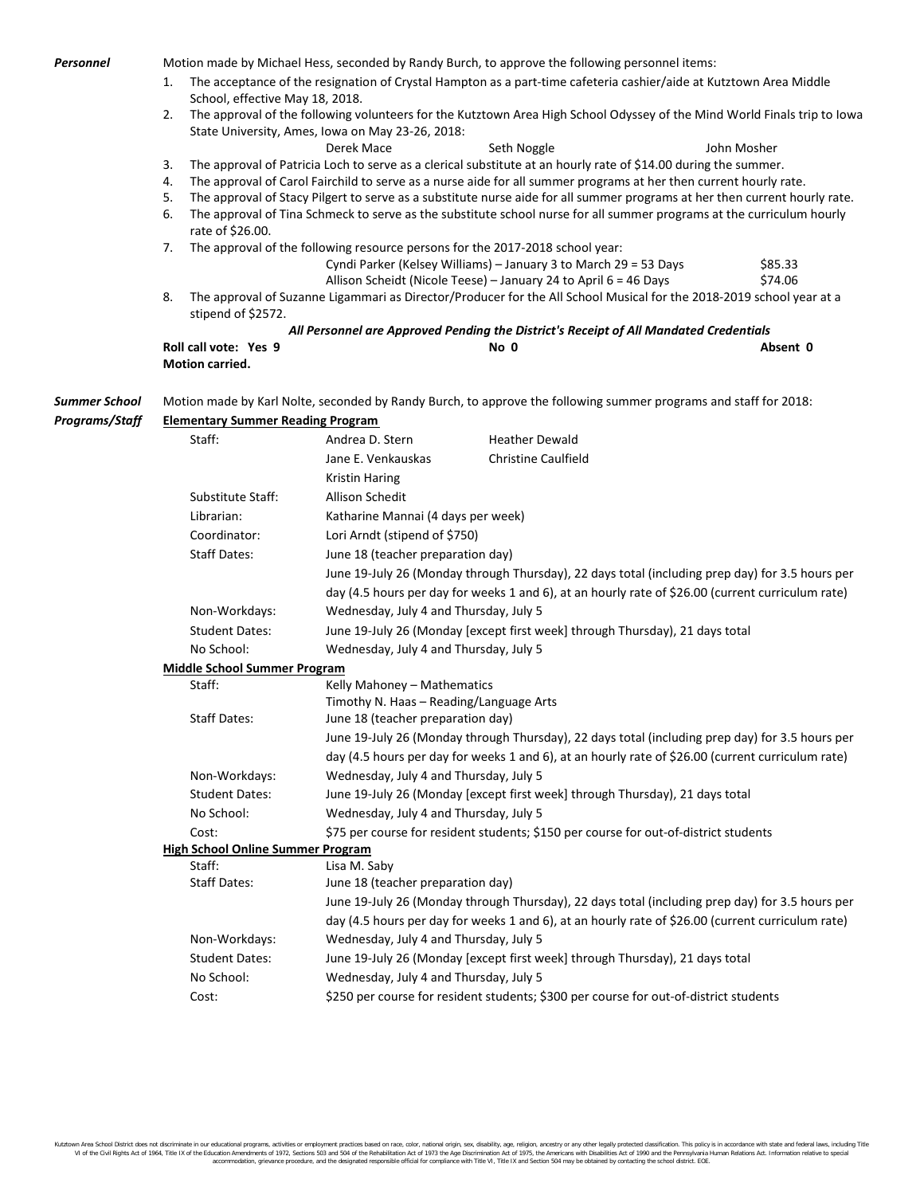| The acceptance of the resignation of Crystal Hampton as a part-time cafeteria cashier/aide at Kutztown Area Middle<br>1.<br>School, effective May 18, 2018.<br>The approval of the following volunteers for the Kutztown Area High School Odyssey of the Mind World Finals trip to Iowa<br>2.<br>State University, Ames, Iowa on May 23-26, 2018:<br>Derek Mace<br>Seth Noggle<br>John Mosher<br>The approval of Patricia Loch to serve as a clerical substitute at an hourly rate of \$14.00 during the summer.<br>3.<br>The approval of Carol Fairchild to serve as a nurse aide for all summer programs at her then current hourly rate.<br>4.<br>The approval of Stacy Pilgert to serve as a substitute nurse aide for all summer programs at her then current hourly rate.<br>5.<br>The approval of Tina Schmeck to serve as the substitute school nurse for all summer programs at the curriculum hourly<br>6.<br>rate of \$26.00.<br>The approval of the following resource persons for the 2017-2018 school year:<br>7.<br>Cyndi Parker (Kelsey Williams) - January 3 to March 29 = 53 Days<br>\$85.33<br>\$74.06<br>Allison Scheidt (Nicole Teese) - January 24 to April 6 = 46 Days<br>8.<br>The approval of Suzanne Ligammari as Director/Producer for the All School Musical for the 2018-2019 school year at a<br>stipend of \$2572.<br>All Personnel are Approved Pending the District's Receipt of All Mandated Credentials<br>Roll call vote: Yes 9<br>No 0<br>Absent 0<br>Motion carried.<br><b>Summer School</b><br>Motion made by Karl Nolte, seconded by Randy Burch, to approve the following summer programs and staff for 2018:<br><b>Elementary Summer Reading Program</b><br>Staff:<br>Andrea D. Stern<br><b>Heather Dewald</b><br><b>Christine Caulfield</b><br>Jane E. Venkauskas<br><b>Kristin Haring</b><br>Substitute Staff:<br>Allison Schedit<br>Librarian:<br>Katharine Mannai (4 days per week)<br>Lori Arndt (stipend of \$750)<br>Coordinator:<br><b>Staff Dates:</b><br>June 18 (teacher preparation day)<br>June 19-July 26 (Monday through Thursday), 22 days total (including prep day) for 3.5 hours per<br>day (4.5 hours per day for weeks 1 and 6), at an hourly rate of \$26.00 (current curriculum rate)<br>Wednesday, July 4 and Thursday, July 5<br>Non-Workdays:<br><b>Student Dates:</b><br>June 19-July 26 (Monday [except first week] through Thursday), 21 days total<br>No School:<br>Wednesday, July 4 and Thursday, July 5<br><b>Middle School Summer Program</b><br>Staff:<br>Kelly Mahoney - Mathematics<br>Timothy N. Haas - Reading/Language Arts<br><b>Staff Dates:</b><br>June 18 (teacher preparation day)<br>June 19-July 26 (Monday through Thursday), 22 days total (including prep day) for 3.5 hours per<br>day (4.5 hours per day for weeks 1 and 6), at an hourly rate of \$26.00 (current curriculum rate)<br>Wednesday, July 4 and Thursday, July 5<br>Non-Workdays:<br>June 19-July 26 (Monday [except first week] through Thursday), 21 days total<br><b>Student Dates:</b><br>Wednesday, July 4 and Thursday, July 5<br>No School:<br>\$75 per course for resident students; \$150 per course for out-of-district students<br>Cost:<br><b>High School Online Summer Program</b><br>Staff:<br>Lisa M. Saby<br>June 18 (teacher preparation day)<br><b>Staff Dates:</b><br>June 19-July 26 (Monday through Thursday), 22 days total (including prep day) for 3.5 hours per<br>day (4.5 hours per day for weeks 1 and 6), at an hourly rate of \$26.00 (current curriculum rate)<br>Wednesday, July 4 and Thursday, July 5<br>Non-Workdays:<br>June 19-July 26 (Monday [except first week] through Thursday), 21 days total<br><b>Student Dates:</b><br>No School:<br>Wednesday, July 4 and Thursday, July 5<br>\$250 per course for resident students; \$300 per course for out-of-district students<br>Cost: | Personnel             |  |  | Motion made by Michael Hess, seconded by Randy Burch, to approve the following personnel items: |  |  |  |
|----------------------------------------------------------------------------------------------------------------------------------------------------------------------------------------------------------------------------------------------------------------------------------------------------------------------------------------------------------------------------------------------------------------------------------------------------------------------------------------------------------------------------------------------------------------------------------------------------------------------------------------------------------------------------------------------------------------------------------------------------------------------------------------------------------------------------------------------------------------------------------------------------------------------------------------------------------------------------------------------------------------------------------------------------------------------------------------------------------------------------------------------------------------------------------------------------------------------------------------------------------------------------------------------------------------------------------------------------------------------------------------------------------------------------------------------------------------------------------------------------------------------------------------------------------------------------------------------------------------------------------------------------------------------------------------------------------------------------------------------------------------------------------------------------------------------------------------------------------------------------------------------------------------------------------------------------------------------------------------------------------------------------------------------------------------------------------------------------------------------------------------------------------------------------------------------------------------------------------------------------------------------------------------------------------------------------------------------------------------------------------------------------------------------------------------------------------------------------------------------------------------------------------------------------------------------------------------------------------------------------------------------------------------------------------------------------------------------------------------------------------------------------------------------------------------------------------------------------------------------------------------------------------------------------------------------------------------------------------------------------------------------------------------------------------------------------------------------------------------------------------------------------------------------------------------------------------------------------------------------------------------------------------------------------------------------------------------------------------------------------------------------------------------------------------------------------------------------------------------------------------------------------------------------------------------------------------------------------------------------------------------------------------------------------------------------------------------------------------------------------------------------------------------------------------------------------------------------------------------------------------------|-----------------------|--|--|-------------------------------------------------------------------------------------------------|--|--|--|
|                                                                                                                                                                                                                                                                                                                                                                                                                                                                                                                                                                                                                                                                                                                                                                                                                                                                                                                                                                                                                                                                                                                                                                                                                                                                                                                                                                                                                                                                                                                                                                                                                                                                                                                                                                                                                                                                                                                                                                                                                                                                                                                                                                                                                                                                                                                                                                                                                                                                                                                                                                                                                                                                                                                                                                                                                                                                                                                                                                                                                                                                                                                                                                                                                                                                                                                                                                                                                                                                                                                                                                                                                                                                                                                                                                                                                                                                                        |                       |  |  |                                                                                                 |  |  |  |
|                                                                                                                                                                                                                                                                                                                                                                                                                                                                                                                                                                                                                                                                                                                                                                                                                                                                                                                                                                                                                                                                                                                                                                                                                                                                                                                                                                                                                                                                                                                                                                                                                                                                                                                                                                                                                                                                                                                                                                                                                                                                                                                                                                                                                                                                                                                                                                                                                                                                                                                                                                                                                                                                                                                                                                                                                                                                                                                                                                                                                                                                                                                                                                                                                                                                                                                                                                                                                                                                                                                                                                                                                                                                                                                                                                                                                                                                                        |                       |  |  |                                                                                                 |  |  |  |
|                                                                                                                                                                                                                                                                                                                                                                                                                                                                                                                                                                                                                                                                                                                                                                                                                                                                                                                                                                                                                                                                                                                                                                                                                                                                                                                                                                                                                                                                                                                                                                                                                                                                                                                                                                                                                                                                                                                                                                                                                                                                                                                                                                                                                                                                                                                                                                                                                                                                                                                                                                                                                                                                                                                                                                                                                                                                                                                                                                                                                                                                                                                                                                                                                                                                                                                                                                                                                                                                                                                                                                                                                                                                                                                                                                                                                                                                                        |                       |  |  |                                                                                                 |  |  |  |
|                                                                                                                                                                                                                                                                                                                                                                                                                                                                                                                                                                                                                                                                                                                                                                                                                                                                                                                                                                                                                                                                                                                                                                                                                                                                                                                                                                                                                                                                                                                                                                                                                                                                                                                                                                                                                                                                                                                                                                                                                                                                                                                                                                                                                                                                                                                                                                                                                                                                                                                                                                                                                                                                                                                                                                                                                                                                                                                                                                                                                                                                                                                                                                                                                                                                                                                                                                                                                                                                                                                                                                                                                                                                                                                                                                                                                                                                                        |                       |  |  |                                                                                                 |  |  |  |
|                                                                                                                                                                                                                                                                                                                                                                                                                                                                                                                                                                                                                                                                                                                                                                                                                                                                                                                                                                                                                                                                                                                                                                                                                                                                                                                                                                                                                                                                                                                                                                                                                                                                                                                                                                                                                                                                                                                                                                                                                                                                                                                                                                                                                                                                                                                                                                                                                                                                                                                                                                                                                                                                                                                                                                                                                                                                                                                                                                                                                                                                                                                                                                                                                                                                                                                                                                                                                                                                                                                                                                                                                                                                                                                                                                                                                                                                                        |                       |  |  |                                                                                                 |  |  |  |
|                                                                                                                                                                                                                                                                                                                                                                                                                                                                                                                                                                                                                                                                                                                                                                                                                                                                                                                                                                                                                                                                                                                                                                                                                                                                                                                                                                                                                                                                                                                                                                                                                                                                                                                                                                                                                                                                                                                                                                                                                                                                                                                                                                                                                                                                                                                                                                                                                                                                                                                                                                                                                                                                                                                                                                                                                                                                                                                                                                                                                                                                                                                                                                                                                                                                                                                                                                                                                                                                                                                                                                                                                                                                                                                                                                                                                                                                                        |                       |  |  |                                                                                                 |  |  |  |
|                                                                                                                                                                                                                                                                                                                                                                                                                                                                                                                                                                                                                                                                                                                                                                                                                                                                                                                                                                                                                                                                                                                                                                                                                                                                                                                                                                                                                                                                                                                                                                                                                                                                                                                                                                                                                                                                                                                                                                                                                                                                                                                                                                                                                                                                                                                                                                                                                                                                                                                                                                                                                                                                                                                                                                                                                                                                                                                                                                                                                                                                                                                                                                                                                                                                                                                                                                                                                                                                                                                                                                                                                                                                                                                                                                                                                                                                                        |                       |  |  |                                                                                                 |  |  |  |
|                                                                                                                                                                                                                                                                                                                                                                                                                                                                                                                                                                                                                                                                                                                                                                                                                                                                                                                                                                                                                                                                                                                                                                                                                                                                                                                                                                                                                                                                                                                                                                                                                                                                                                                                                                                                                                                                                                                                                                                                                                                                                                                                                                                                                                                                                                                                                                                                                                                                                                                                                                                                                                                                                                                                                                                                                                                                                                                                                                                                                                                                                                                                                                                                                                                                                                                                                                                                                                                                                                                                                                                                                                                                                                                                                                                                                                                                                        |                       |  |  |                                                                                                 |  |  |  |
|                                                                                                                                                                                                                                                                                                                                                                                                                                                                                                                                                                                                                                                                                                                                                                                                                                                                                                                                                                                                                                                                                                                                                                                                                                                                                                                                                                                                                                                                                                                                                                                                                                                                                                                                                                                                                                                                                                                                                                                                                                                                                                                                                                                                                                                                                                                                                                                                                                                                                                                                                                                                                                                                                                                                                                                                                                                                                                                                                                                                                                                                                                                                                                                                                                                                                                                                                                                                                                                                                                                                                                                                                                                                                                                                                                                                                                                                                        |                       |  |  |                                                                                                 |  |  |  |
|                                                                                                                                                                                                                                                                                                                                                                                                                                                                                                                                                                                                                                                                                                                                                                                                                                                                                                                                                                                                                                                                                                                                                                                                                                                                                                                                                                                                                                                                                                                                                                                                                                                                                                                                                                                                                                                                                                                                                                                                                                                                                                                                                                                                                                                                                                                                                                                                                                                                                                                                                                                                                                                                                                                                                                                                                                                                                                                                                                                                                                                                                                                                                                                                                                                                                                                                                                                                                                                                                                                                                                                                                                                                                                                                                                                                                                                                                        |                       |  |  |                                                                                                 |  |  |  |
|                                                                                                                                                                                                                                                                                                                                                                                                                                                                                                                                                                                                                                                                                                                                                                                                                                                                                                                                                                                                                                                                                                                                                                                                                                                                                                                                                                                                                                                                                                                                                                                                                                                                                                                                                                                                                                                                                                                                                                                                                                                                                                                                                                                                                                                                                                                                                                                                                                                                                                                                                                                                                                                                                                                                                                                                                                                                                                                                                                                                                                                                                                                                                                                                                                                                                                                                                                                                                                                                                                                                                                                                                                                                                                                                                                                                                                                                                        |                       |  |  |                                                                                                 |  |  |  |
|                                                                                                                                                                                                                                                                                                                                                                                                                                                                                                                                                                                                                                                                                                                                                                                                                                                                                                                                                                                                                                                                                                                                                                                                                                                                                                                                                                                                                                                                                                                                                                                                                                                                                                                                                                                                                                                                                                                                                                                                                                                                                                                                                                                                                                                                                                                                                                                                                                                                                                                                                                                                                                                                                                                                                                                                                                                                                                                                                                                                                                                                                                                                                                                                                                                                                                                                                                                                                                                                                                                                                                                                                                                                                                                                                                                                                                                                                        |                       |  |  |                                                                                                 |  |  |  |
|                                                                                                                                                                                                                                                                                                                                                                                                                                                                                                                                                                                                                                                                                                                                                                                                                                                                                                                                                                                                                                                                                                                                                                                                                                                                                                                                                                                                                                                                                                                                                                                                                                                                                                                                                                                                                                                                                                                                                                                                                                                                                                                                                                                                                                                                                                                                                                                                                                                                                                                                                                                                                                                                                                                                                                                                                                                                                                                                                                                                                                                                                                                                                                                                                                                                                                                                                                                                                                                                                                                                                                                                                                                                                                                                                                                                                                                                                        |                       |  |  |                                                                                                 |  |  |  |
|                                                                                                                                                                                                                                                                                                                                                                                                                                                                                                                                                                                                                                                                                                                                                                                                                                                                                                                                                                                                                                                                                                                                                                                                                                                                                                                                                                                                                                                                                                                                                                                                                                                                                                                                                                                                                                                                                                                                                                                                                                                                                                                                                                                                                                                                                                                                                                                                                                                                                                                                                                                                                                                                                                                                                                                                                                                                                                                                                                                                                                                                                                                                                                                                                                                                                                                                                                                                                                                                                                                                                                                                                                                                                                                                                                                                                                                                                        |                       |  |  |                                                                                                 |  |  |  |
|                                                                                                                                                                                                                                                                                                                                                                                                                                                                                                                                                                                                                                                                                                                                                                                                                                                                                                                                                                                                                                                                                                                                                                                                                                                                                                                                                                                                                                                                                                                                                                                                                                                                                                                                                                                                                                                                                                                                                                                                                                                                                                                                                                                                                                                                                                                                                                                                                                                                                                                                                                                                                                                                                                                                                                                                                                                                                                                                                                                                                                                                                                                                                                                                                                                                                                                                                                                                                                                                                                                                                                                                                                                                                                                                                                                                                                                                                        |                       |  |  |                                                                                                 |  |  |  |
|                                                                                                                                                                                                                                                                                                                                                                                                                                                                                                                                                                                                                                                                                                                                                                                                                                                                                                                                                                                                                                                                                                                                                                                                                                                                                                                                                                                                                                                                                                                                                                                                                                                                                                                                                                                                                                                                                                                                                                                                                                                                                                                                                                                                                                                                                                                                                                                                                                                                                                                                                                                                                                                                                                                                                                                                                                                                                                                                                                                                                                                                                                                                                                                                                                                                                                                                                                                                                                                                                                                                                                                                                                                                                                                                                                                                                                                                                        |                       |  |  |                                                                                                 |  |  |  |
|                                                                                                                                                                                                                                                                                                                                                                                                                                                                                                                                                                                                                                                                                                                                                                                                                                                                                                                                                                                                                                                                                                                                                                                                                                                                                                                                                                                                                                                                                                                                                                                                                                                                                                                                                                                                                                                                                                                                                                                                                                                                                                                                                                                                                                                                                                                                                                                                                                                                                                                                                                                                                                                                                                                                                                                                                                                                                                                                                                                                                                                                                                                                                                                                                                                                                                                                                                                                                                                                                                                                                                                                                                                                                                                                                                                                                                                                                        |                       |  |  |                                                                                                 |  |  |  |
|                                                                                                                                                                                                                                                                                                                                                                                                                                                                                                                                                                                                                                                                                                                                                                                                                                                                                                                                                                                                                                                                                                                                                                                                                                                                                                                                                                                                                                                                                                                                                                                                                                                                                                                                                                                                                                                                                                                                                                                                                                                                                                                                                                                                                                                                                                                                                                                                                                                                                                                                                                                                                                                                                                                                                                                                                                                                                                                                                                                                                                                                                                                                                                                                                                                                                                                                                                                                                                                                                                                                                                                                                                                                                                                                                                                                                                                                                        | <b>Programs/Staff</b> |  |  |                                                                                                 |  |  |  |
|                                                                                                                                                                                                                                                                                                                                                                                                                                                                                                                                                                                                                                                                                                                                                                                                                                                                                                                                                                                                                                                                                                                                                                                                                                                                                                                                                                                                                                                                                                                                                                                                                                                                                                                                                                                                                                                                                                                                                                                                                                                                                                                                                                                                                                                                                                                                                                                                                                                                                                                                                                                                                                                                                                                                                                                                                                                                                                                                                                                                                                                                                                                                                                                                                                                                                                                                                                                                                                                                                                                                                                                                                                                                                                                                                                                                                                                                                        |                       |  |  |                                                                                                 |  |  |  |
|                                                                                                                                                                                                                                                                                                                                                                                                                                                                                                                                                                                                                                                                                                                                                                                                                                                                                                                                                                                                                                                                                                                                                                                                                                                                                                                                                                                                                                                                                                                                                                                                                                                                                                                                                                                                                                                                                                                                                                                                                                                                                                                                                                                                                                                                                                                                                                                                                                                                                                                                                                                                                                                                                                                                                                                                                                                                                                                                                                                                                                                                                                                                                                                                                                                                                                                                                                                                                                                                                                                                                                                                                                                                                                                                                                                                                                                                                        |                       |  |  |                                                                                                 |  |  |  |
|                                                                                                                                                                                                                                                                                                                                                                                                                                                                                                                                                                                                                                                                                                                                                                                                                                                                                                                                                                                                                                                                                                                                                                                                                                                                                                                                                                                                                                                                                                                                                                                                                                                                                                                                                                                                                                                                                                                                                                                                                                                                                                                                                                                                                                                                                                                                                                                                                                                                                                                                                                                                                                                                                                                                                                                                                                                                                                                                                                                                                                                                                                                                                                                                                                                                                                                                                                                                                                                                                                                                                                                                                                                                                                                                                                                                                                                                                        |                       |  |  |                                                                                                 |  |  |  |
|                                                                                                                                                                                                                                                                                                                                                                                                                                                                                                                                                                                                                                                                                                                                                                                                                                                                                                                                                                                                                                                                                                                                                                                                                                                                                                                                                                                                                                                                                                                                                                                                                                                                                                                                                                                                                                                                                                                                                                                                                                                                                                                                                                                                                                                                                                                                                                                                                                                                                                                                                                                                                                                                                                                                                                                                                                                                                                                                                                                                                                                                                                                                                                                                                                                                                                                                                                                                                                                                                                                                                                                                                                                                                                                                                                                                                                                                                        |                       |  |  |                                                                                                 |  |  |  |
|                                                                                                                                                                                                                                                                                                                                                                                                                                                                                                                                                                                                                                                                                                                                                                                                                                                                                                                                                                                                                                                                                                                                                                                                                                                                                                                                                                                                                                                                                                                                                                                                                                                                                                                                                                                                                                                                                                                                                                                                                                                                                                                                                                                                                                                                                                                                                                                                                                                                                                                                                                                                                                                                                                                                                                                                                                                                                                                                                                                                                                                                                                                                                                                                                                                                                                                                                                                                                                                                                                                                                                                                                                                                                                                                                                                                                                                                                        |                       |  |  |                                                                                                 |  |  |  |
|                                                                                                                                                                                                                                                                                                                                                                                                                                                                                                                                                                                                                                                                                                                                                                                                                                                                                                                                                                                                                                                                                                                                                                                                                                                                                                                                                                                                                                                                                                                                                                                                                                                                                                                                                                                                                                                                                                                                                                                                                                                                                                                                                                                                                                                                                                                                                                                                                                                                                                                                                                                                                                                                                                                                                                                                                                                                                                                                                                                                                                                                                                                                                                                                                                                                                                                                                                                                                                                                                                                                                                                                                                                                                                                                                                                                                                                                                        |                       |  |  |                                                                                                 |  |  |  |
|                                                                                                                                                                                                                                                                                                                                                                                                                                                                                                                                                                                                                                                                                                                                                                                                                                                                                                                                                                                                                                                                                                                                                                                                                                                                                                                                                                                                                                                                                                                                                                                                                                                                                                                                                                                                                                                                                                                                                                                                                                                                                                                                                                                                                                                                                                                                                                                                                                                                                                                                                                                                                                                                                                                                                                                                                                                                                                                                                                                                                                                                                                                                                                                                                                                                                                                                                                                                                                                                                                                                                                                                                                                                                                                                                                                                                                                                                        |                       |  |  |                                                                                                 |  |  |  |
|                                                                                                                                                                                                                                                                                                                                                                                                                                                                                                                                                                                                                                                                                                                                                                                                                                                                                                                                                                                                                                                                                                                                                                                                                                                                                                                                                                                                                                                                                                                                                                                                                                                                                                                                                                                                                                                                                                                                                                                                                                                                                                                                                                                                                                                                                                                                                                                                                                                                                                                                                                                                                                                                                                                                                                                                                                                                                                                                                                                                                                                                                                                                                                                                                                                                                                                                                                                                                                                                                                                                                                                                                                                                                                                                                                                                                                                                                        |                       |  |  |                                                                                                 |  |  |  |
|                                                                                                                                                                                                                                                                                                                                                                                                                                                                                                                                                                                                                                                                                                                                                                                                                                                                                                                                                                                                                                                                                                                                                                                                                                                                                                                                                                                                                                                                                                                                                                                                                                                                                                                                                                                                                                                                                                                                                                                                                                                                                                                                                                                                                                                                                                                                                                                                                                                                                                                                                                                                                                                                                                                                                                                                                                                                                                                                                                                                                                                                                                                                                                                                                                                                                                                                                                                                                                                                                                                                                                                                                                                                                                                                                                                                                                                                                        |                       |  |  |                                                                                                 |  |  |  |
|                                                                                                                                                                                                                                                                                                                                                                                                                                                                                                                                                                                                                                                                                                                                                                                                                                                                                                                                                                                                                                                                                                                                                                                                                                                                                                                                                                                                                                                                                                                                                                                                                                                                                                                                                                                                                                                                                                                                                                                                                                                                                                                                                                                                                                                                                                                                                                                                                                                                                                                                                                                                                                                                                                                                                                                                                                                                                                                                                                                                                                                                                                                                                                                                                                                                                                                                                                                                                                                                                                                                                                                                                                                                                                                                                                                                                                                                                        |                       |  |  |                                                                                                 |  |  |  |
|                                                                                                                                                                                                                                                                                                                                                                                                                                                                                                                                                                                                                                                                                                                                                                                                                                                                                                                                                                                                                                                                                                                                                                                                                                                                                                                                                                                                                                                                                                                                                                                                                                                                                                                                                                                                                                                                                                                                                                                                                                                                                                                                                                                                                                                                                                                                                                                                                                                                                                                                                                                                                                                                                                                                                                                                                                                                                                                                                                                                                                                                                                                                                                                                                                                                                                                                                                                                                                                                                                                                                                                                                                                                                                                                                                                                                                                                                        |                       |  |  |                                                                                                 |  |  |  |
|                                                                                                                                                                                                                                                                                                                                                                                                                                                                                                                                                                                                                                                                                                                                                                                                                                                                                                                                                                                                                                                                                                                                                                                                                                                                                                                                                                                                                                                                                                                                                                                                                                                                                                                                                                                                                                                                                                                                                                                                                                                                                                                                                                                                                                                                                                                                                                                                                                                                                                                                                                                                                                                                                                                                                                                                                                                                                                                                                                                                                                                                                                                                                                                                                                                                                                                                                                                                                                                                                                                                                                                                                                                                                                                                                                                                                                                                                        |                       |  |  |                                                                                                 |  |  |  |
|                                                                                                                                                                                                                                                                                                                                                                                                                                                                                                                                                                                                                                                                                                                                                                                                                                                                                                                                                                                                                                                                                                                                                                                                                                                                                                                                                                                                                                                                                                                                                                                                                                                                                                                                                                                                                                                                                                                                                                                                                                                                                                                                                                                                                                                                                                                                                                                                                                                                                                                                                                                                                                                                                                                                                                                                                                                                                                                                                                                                                                                                                                                                                                                                                                                                                                                                                                                                                                                                                                                                                                                                                                                                                                                                                                                                                                                                                        |                       |  |  |                                                                                                 |  |  |  |
|                                                                                                                                                                                                                                                                                                                                                                                                                                                                                                                                                                                                                                                                                                                                                                                                                                                                                                                                                                                                                                                                                                                                                                                                                                                                                                                                                                                                                                                                                                                                                                                                                                                                                                                                                                                                                                                                                                                                                                                                                                                                                                                                                                                                                                                                                                                                                                                                                                                                                                                                                                                                                                                                                                                                                                                                                                                                                                                                                                                                                                                                                                                                                                                                                                                                                                                                                                                                                                                                                                                                                                                                                                                                                                                                                                                                                                                                                        |                       |  |  |                                                                                                 |  |  |  |
|                                                                                                                                                                                                                                                                                                                                                                                                                                                                                                                                                                                                                                                                                                                                                                                                                                                                                                                                                                                                                                                                                                                                                                                                                                                                                                                                                                                                                                                                                                                                                                                                                                                                                                                                                                                                                                                                                                                                                                                                                                                                                                                                                                                                                                                                                                                                                                                                                                                                                                                                                                                                                                                                                                                                                                                                                                                                                                                                                                                                                                                                                                                                                                                                                                                                                                                                                                                                                                                                                                                                                                                                                                                                                                                                                                                                                                                                                        |                       |  |  |                                                                                                 |  |  |  |
|                                                                                                                                                                                                                                                                                                                                                                                                                                                                                                                                                                                                                                                                                                                                                                                                                                                                                                                                                                                                                                                                                                                                                                                                                                                                                                                                                                                                                                                                                                                                                                                                                                                                                                                                                                                                                                                                                                                                                                                                                                                                                                                                                                                                                                                                                                                                                                                                                                                                                                                                                                                                                                                                                                                                                                                                                                                                                                                                                                                                                                                                                                                                                                                                                                                                                                                                                                                                                                                                                                                                                                                                                                                                                                                                                                                                                                                                                        |                       |  |  |                                                                                                 |  |  |  |
|                                                                                                                                                                                                                                                                                                                                                                                                                                                                                                                                                                                                                                                                                                                                                                                                                                                                                                                                                                                                                                                                                                                                                                                                                                                                                                                                                                                                                                                                                                                                                                                                                                                                                                                                                                                                                                                                                                                                                                                                                                                                                                                                                                                                                                                                                                                                                                                                                                                                                                                                                                                                                                                                                                                                                                                                                                                                                                                                                                                                                                                                                                                                                                                                                                                                                                                                                                                                                                                                                                                                                                                                                                                                                                                                                                                                                                                                                        |                       |  |  |                                                                                                 |  |  |  |
|                                                                                                                                                                                                                                                                                                                                                                                                                                                                                                                                                                                                                                                                                                                                                                                                                                                                                                                                                                                                                                                                                                                                                                                                                                                                                                                                                                                                                                                                                                                                                                                                                                                                                                                                                                                                                                                                                                                                                                                                                                                                                                                                                                                                                                                                                                                                                                                                                                                                                                                                                                                                                                                                                                                                                                                                                                                                                                                                                                                                                                                                                                                                                                                                                                                                                                                                                                                                                                                                                                                                                                                                                                                                                                                                                                                                                                                                                        |                       |  |  |                                                                                                 |  |  |  |
|                                                                                                                                                                                                                                                                                                                                                                                                                                                                                                                                                                                                                                                                                                                                                                                                                                                                                                                                                                                                                                                                                                                                                                                                                                                                                                                                                                                                                                                                                                                                                                                                                                                                                                                                                                                                                                                                                                                                                                                                                                                                                                                                                                                                                                                                                                                                                                                                                                                                                                                                                                                                                                                                                                                                                                                                                                                                                                                                                                                                                                                                                                                                                                                                                                                                                                                                                                                                                                                                                                                                                                                                                                                                                                                                                                                                                                                                                        |                       |  |  |                                                                                                 |  |  |  |
|                                                                                                                                                                                                                                                                                                                                                                                                                                                                                                                                                                                                                                                                                                                                                                                                                                                                                                                                                                                                                                                                                                                                                                                                                                                                                                                                                                                                                                                                                                                                                                                                                                                                                                                                                                                                                                                                                                                                                                                                                                                                                                                                                                                                                                                                                                                                                                                                                                                                                                                                                                                                                                                                                                                                                                                                                                                                                                                                                                                                                                                                                                                                                                                                                                                                                                                                                                                                                                                                                                                                                                                                                                                                                                                                                                                                                                                                                        |                       |  |  |                                                                                                 |  |  |  |
|                                                                                                                                                                                                                                                                                                                                                                                                                                                                                                                                                                                                                                                                                                                                                                                                                                                                                                                                                                                                                                                                                                                                                                                                                                                                                                                                                                                                                                                                                                                                                                                                                                                                                                                                                                                                                                                                                                                                                                                                                                                                                                                                                                                                                                                                                                                                                                                                                                                                                                                                                                                                                                                                                                                                                                                                                                                                                                                                                                                                                                                                                                                                                                                                                                                                                                                                                                                                                                                                                                                                                                                                                                                                                                                                                                                                                                                                                        |                       |  |  |                                                                                                 |  |  |  |
|                                                                                                                                                                                                                                                                                                                                                                                                                                                                                                                                                                                                                                                                                                                                                                                                                                                                                                                                                                                                                                                                                                                                                                                                                                                                                                                                                                                                                                                                                                                                                                                                                                                                                                                                                                                                                                                                                                                                                                                                                                                                                                                                                                                                                                                                                                                                                                                                                                                                                                                                                                                                                                                                                                                                                                                                                                                                                                                                                                                                                                                                                                                                                                                                                                                                                                                                                                                                                                                                                                                                                                                                                                                                                                                                                                                                                                                                                        |                       |  |  |                                                                                                 |  |  |  |
|                                                                                                                                                                                                                                                                                                                                                                                                                                                                                                                                                                                                                                                                                                                                                                                                                                                                                                                                                                                                                                                                                                                                                                                                                                                                                                                                                                                                                                                                                                                                                                                                                                                                                                                                                                                                                                                                                                                                                                                                                                                                                                                                                                                                                                                                                                                                                                                                                                                                                                                                                                                                                                                                                                                                                                                                                                                                                                                                                                                                                                                                                                                                                                                                                                                                                                                                                                                                                                                                                                                                                                                                                                                                                                                                                                                                                                                                                        |                       |  |  |                                                                                                 |  |  |  |
|                                                                                                                                                                                                                                                                                                                                                                                                                                                                                                                                                                                                                                                                                                                                                                                                                                                                                                                                                                                                                                                                                                                                                                                                                                                                                                                                                                                                                                                                                                                                                                                                                                                                                                                                                                                                                                                                                                                                                                                                                                                                                                                                                                                                                                                                                                                                                                                                                                                                                                                                                                                                                                                                                                                                                                                                                                                                                                                                                                                                                                                                                                                                                                                                                                                                                                                                                                                                                                                                                                                                                                                                                                                                                                                                                                                                                                                                                        |                       |  |  |                                                                                                 |  |  |  |
|                                                                                                                                                                                                                                                                                                                                                                                                                                                                                                                                                                                                                                                                                                                                                                                                                                                                                                                                                                                                                                                                                                                                                                                                                                                                                                                                                                                                                                                                                                                                                                                                                                                                                                                                                                                                                                                                                                                                                                                                                                                                                                                                                                                                                                                                                                                                                                                                                                                                                                                                                                                                                                                                                                                                                                                                                                                                                                                                                                                                                                                                                                                                                                                                                                                                                                                                                                                                                                                                                                                                                                                                                                                                                                                                                                                                                                                                                        |                       |  |  |                                                                                                 |  |  |  |
|                                                                                                                                                                                                                                                                                                                                                                                                                                                                                                                                                                                                                                                                                                                                                                                                                                                                                                                                                                                                                                                                                                                                                                                                                                                                                                                                                                                                                                                                                                                                                                                                                                                                                                                                                                                                                                                                                                                                                                                                                                                                                                                                                                                                                                                                                                                                                                                                                                                                                                                                                                                                                                                                                                                                                                                                                                                                                                                                                                                                                                                                                                                                                                                                                                                                                                                                                                                                                                                                                                                                                                                                                                                                                                                                                                                                                                                                                        |                       |  |  |                                                                                                 |  |  |  |
|                                                                                                                                                                                                                                                                                                                                                                                                                                                                                                                                                                                                                                                                                                                                                                                                                                                                                                                                                                                                                                                                                                                                                                                                                                                                                                                                                                                                                                                                                                                                                                                                                                                                                                                                                                                                                                                                                                                                                                                                                                                                                                                                                                                                                                                                                                                                                                                                                                                                                                                                                                                                                                                                                                                                                                                                                                                                                                                                                                                                                                                                                                                                                                                                                                                                                                                                                                                                                                                                                                                                                                                                                                                                                                                                                                                                                                                                                        |                       |  |  |                                                                                                 |  |  |  |
|                                                                                                                                                                                                                                                                                                                                                                                                                                                                                                                                                                                                                                                                                                                                                                                                                                                                                                                                                                                                                                                                                                                                                                                                                                                                                                                                                                                                                                                                                                                                                                                                                                                                                                                                                                                                                                                                                                                                                                                                                                                                                                                                                                                                                                                                                                                                                                                                                                                                                                                                                                                                                                                                                                                                                                                                                                                                                                                                                                                                                                                                                                                                                                                                                                                                                                                                                                                                                                                                                                                                                                                                                                                                                                                                                                                                                                                                                        |                       |  |  |                                                                                                 |  |  |  |
|                                                                                                                                                                                                                                                                                                                                                                                                                                                                                                                                                                                                                                                                                                                                                                                                                                                                                                                                                                                                                                                                                                                                                                                                                                                                                                                                                                                                                                                                                                                                                                                                                                                                                                                                                                                                                                                                                                                                                                                                                                                                                                                                                                                                                                                                                                                                                                                                                                                                                                                                                                                                                                                                                                                                                                                                                                                                                                                                                                                                                                                                                                                                                                                                                                                                                                                                                                                                                                                                                                                                                                                                                                                                                                                                                                                                                                                                                        |                       |  |  |                                                                                                 |  |  |  |
|                                                                                                                                                                                                                                                                                                                                                                                                                                                                                                                                                                                                                                                                                                                                                                                                                                                                                                                                                                                                                                                                                                                                                                                                                                                                                                                                                                                                                                                                                                                                                                                                                                                                                                                                                                                                                                                                                                                                                                                                                                                                                                                                                                                                                                                                                                                                                                                                                                                                                                                                                                                                                                                                                                                                                                                                                                                                                                                                                                                                                                                                                                                                                                                                                                                                                                                                                                                                                                                                                                                                                                                                                                                                                                                                                                                                                                                                                        |                       |  |  |                                                                                                 |  |  |  |
|                                                                                                                                                                                                                                                                                                                                                                                                                                                                                                                                                                                                                                                                                                                                                                                                                                                                                                                                                                                                                                                                                                                                                                                                                                                                                                                                                                                                                                                                                                                                                                                                                                                                                                                                                                                                                                                                                                                                                                                                                                                                                                                                                                                                                                                                                                                                                                                                                                                                                                                                                                                                                                                                                                                                                                                                                                                                                                                                                                                                                                                                                                                                                                                                                                                                                                                                                                                                                                                                                                                                                                                                                                                                                                                                                                                                                                                                                        |                       |  |  |                                                                                                 |  |  |  |

Kutztown Area School District does not discriminate in our educational programs, activities or employment practices based on race, color, national origin, sex, disability, age, religion, ancestry or any other legally prot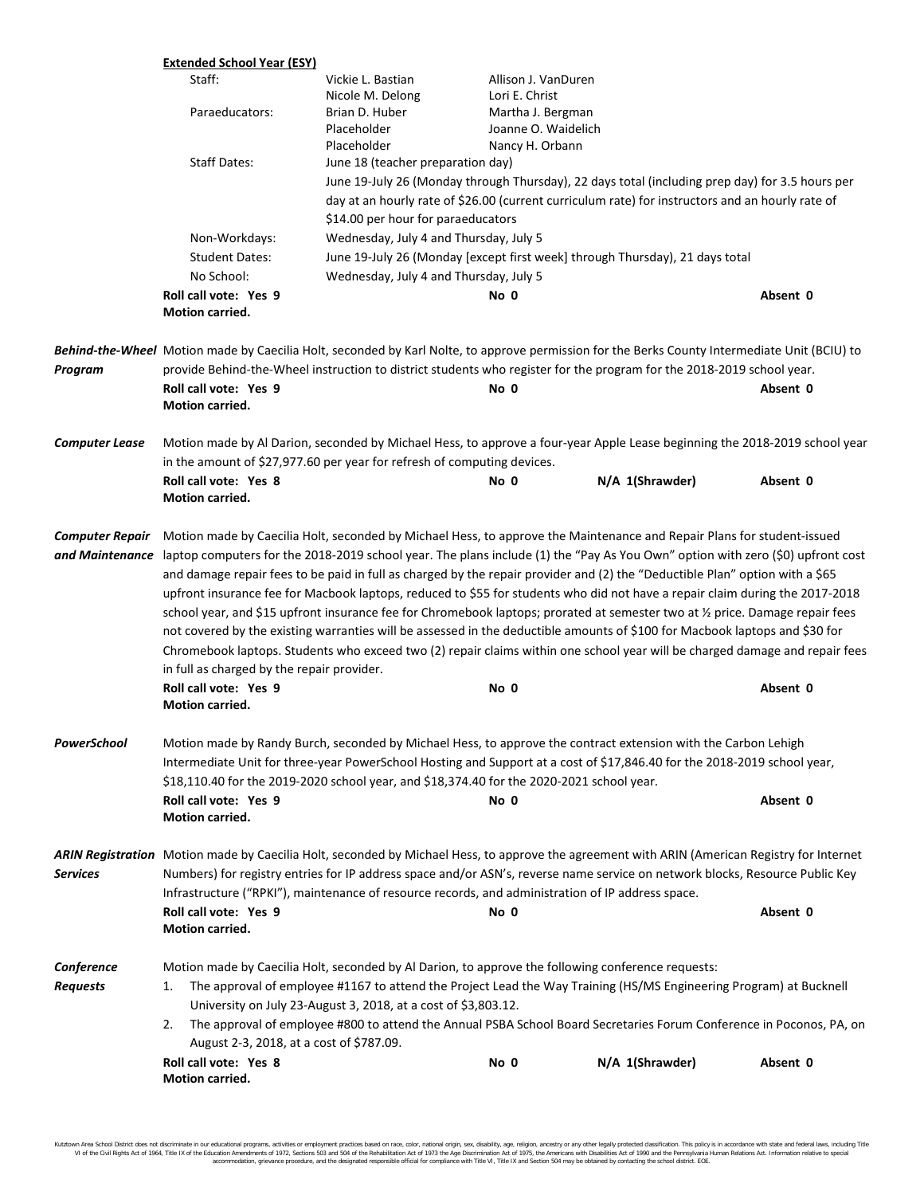|                                           | <b>Extended School Year (ESY)</b>                                                                                                                                                                                                                                                                                                                                                                                                                                                                                                                                                                                                                                                                                                                                                                                                                                                                                                                                                                                                            |                                                                                                   |                     |                                                                                                                                                                                                                                                                              |          |
|-------------------------------------------|----------------------------------------------------------------------------------------------------------------------------------------------------------------------------------------------------------------------------------------------------------------------------------------------------------------------------------------------------------------------------------------------------------------------------------------------------------------------------------------------------------------------------------------------------------------------------------------------------------------------------------------------------------------------------------------------------------------------------------------------------------------------------------------------------------------------------------------------------------------------------------------------------------------------------------------------------------------------------------------------------------------------------------------------|---------------------------------------------------------------------------------------------------|---------------------|------------------------------------------------------------------------------------------------------------------------------------------------------------------------------------------------------------------------------------------------------------------------------|----------|
|                                           | Staff:                                                                                                                                                                                                                                                                                                                                                                                                                                                                                                                                                                                                                                                                                                                                                                                                                                                                                                                                                                                                                                       | Vickie L. Bastian                                                                                 | Allison J. VanDuren |                                                                                                                                                                                                                                                                              |          |
|                                           |                                                                                                                                                                                                                                                                                                                                                                                                                                                                                                                                                                                                                                                                                                                                                                                                                                                                                                                                                                                                                                              | Nicole M. Delong                                                                                  | Lori E. Christ      |                                                                                                                                                                                                                                                                              |          |
|                                           | Paraeducators:                                                                                                                                                                                                                                                                                                                                                                                                                                                                                                                                                                                                                                                                                                                                                                                                                                                                                                                                                                                                                               | Brian D. Huber                                                                                    | Martha J. Bergman   |                                                                                                                                                                                                                                                                              |          |
|                                           |                                                                                                                                                                                                                                                                                                                                                                                                                                                                                                                                                                                                                                                                                                                                                                                                                                                                                                                                                                                                                                              | Placeholder                                                                                       | Joanne O. Waidelich |                                                                                                                                                                                                                                                                              |          |
|                                           |                                                                                                                                                                                                                                                                                                                                                                                                                                                                                                                                                                                                                                                                                                                                                                                                                                                                                                                                                                                                                                              | Placeholder                                                                                       | Nancy H. Orbann     |                                                                                                                                                                                                                                                                              |          |
|                                           | <b>Staff Dates:</b>                                                                                                                                                                                                                                                                                                                                                                                                                                                                                                                                                                                                                                                                                                                                                                                                                                                                                                                                                                                                                          | June 18 (teacher preparation day)                                                                 |                     |                                                                                                                                                                                                                                                                              |          |
|                                           |                                                                                                                                                                                                                                                                                                                                                                                                                                                                                                                                                                                                                                                                                                                                                                                                                                                                                                                                                                                                                                              |                                                                                                   |                     | June 19-July 26 (Monday through Thursday), 22 days total (including prep day) for 3.5 hours per                                                                                                                                                                              |          |
|                                           |                                                                                                                                                                                                                                                                                                                                                                                                                                                                                                                                                                                                                                                                                                                                                                                                                                                                                                                                                                                                                                              |                                                                                                   |                     | day at an hourly rate of \$26.00 (current curriculum rate) for instructors and an hourly rate of                                                                                                                                                                             |          |
|                                           |                                                                                                                                                                                                                                                                                                                                                                                                                                                                                                                                                                                                                                                                                                                                                                                                                                                                                                                                                                                                                                              | \$14.00 per hour for paraeducators                                                                |                     |                                                                                                                                                                                                                                                                              |          |
|                                           | Non-Workdays:                                                                                                                                                                                                                                                                                                                                                                                                                                                                                                                                                                                                                                                                                                                                                                                                                                                                                                                                                                                                                                | Wednesday, July 4 and Thursday, July 5                                                            |                     |                                                                                                                                                                                                                                                                              |          |
|                                           | <b>Student Dates:</b>                                                                                                                                                                                                                                                                                                                                                                                                                                                                                                                                                                                                                                                                                                                                                                                                                                                                                                                                                                                                                        |                                                                                                   |                     | June 19-July 26 (Monday [except first week] through Thursday), 21 days total                                                                                                                                                                                                 |          |
|                                           | No School:                                                                                                                                                                                                                                                                                                                                                                                                                                                                                                                                                                                                                                                                                                                                                                                                                                                                                                                                                                                                                                   | Wednesday, July 4 and Thursday, July 5                                                            |                     |                                                                                                                                                                                                                                                                              |          |
|                                           | Roll call vote: Yes 9                                                                                                                                                                                                                                                                                                                                                                                                                                                                                                                                                                                                                                                                                                                                                                                                                                                                                                                                                                                                                        |                                                                                                   | No 0                |                                                                                                                                                                                                                                                                              | Absent 0 |
|                                           | Motion carried.                                                                                                                                                                                                                                                                                                                                                                                                                                                                                                                                                                                                                                                                                                                                                                                                                                                                                                                                                                                                                              |                                                                                                   |                     |                                                                                                                                                                                                                                                                              |          |
|                                           |                                                                                                                                                                                                                                                                                                                                                                                                                                                                                                                                                                                                                                                                                                                                                                                                                                                                                                                                                                                                                                              |                                                                                                   |                     | Behind-the-Wheel Motion made by Caecilia Holt, seconded by Karl Nolte, to approve permission for the Berks County Intermediate Unit (BCIU) to                                                                                                                                |          |
| Program                                   |                                                                                                                                                                                                                                                                                                                                                                                                                                                                                                                                                                                                                                                                                                                                                                                                                                                                                                                                                                                                                                              |                                                                                                   |                     | provide Behind-the-Wheel instruction to district students who register for the program for the 2018-2019 school year.                                                                                                                                                        |          |
|                                           | Roll call vote: Yes 9                                                                                                                                                                                                                                                                                                                                                                                                                                                                                                                                                                                                                                                                                                                                                                                                                                                                                                                                                                                                                        |                                                                                                   | No 0                |                                                                                                                                                                                                                                                                              | Absent 0 |
|                                           | Motion carried.                                                                                                                                                                                                                                                                                                                                                                                                                                                                                                                                                                                                                                                                                                                                                                                                                                                                                                                                                                                                                              |                                                                                                   |                     |                                                                                                                                                                                                                                                                              |          |
| <b>Computer Lease</b>                     | Motion made by Al Darion, seconded by Michael Hess, to approve a four-year Apple Lease beginning the 2018-2019 school year                                                                                                                                                                                                                                                                                                                                                                                                                                                                                                                                                                                                                                                                                                                                                                                                                                                                                                                   |                                                                                                   |                     |                                                                                                                                                                                                                                                                              |          |
|                                           |                                                                                                                                                                                                                                                                                                                                                                                                                                                                                                                                                                                                                                                                                                                                                                                                                                                                                                                                                                                                                                              | in the amount of \$27,977.60 per year for refresh of computing devices.                           |                     |                                                                                                                                                                                                                                                                              |          |
|                                           | Roll call vote: Yes 8                                                                                                                                                                                                                                                                                                                                                                                                                                                                                                                                                                                                                                                                                                                                                                                                                                                                                                                                                                                                                        |                                                                                                   | No 0                | N/A 1(Shrawder)                                                                                                                                                                                                                                                              | Absent 0 |
|                                           | Motion carried.                                                                                                                                                                                                                                                                                                                                                                                                                                                                                                                                                                                                                                                                                                                                                                                                                                                                                                                                                                                                                              |                                                                                                   |                     |                                                                                                                                                                                                                                                                              |          |
| <b>Computer Repair</b><br>and Maintenance | Motion made by Caecilia Holt, seconded by Michael Hess, to approve the Maintenance and Repair Plans for student-issued<br>laptop computers for the 2018-2019 school year. The plans include (1) the "Pay As You Own" option with zero (\$0) upfront cost<br>and damage repair fees to be paid in full as charged by the repair provider and (2) the "Deductible Plan" option with a \$65<br>upfront insurance fee for Macbook laptops, reduced to \$55 for students who did not have a repair claim during the 2017-2018<br>school year, and \$15 upfront insurance fee for Chromebook laptops; prorated at semester two at 1/2 price. Damage repair fees<br>not covered by the existing warranties will be assessed in the deductible amounts of \$100 for Macbook laptops and \$30 for<br>Chromebook laptops. Students who exceed two (2) repair claims within one school year will be charged damage and repair fees<br>in full as charged by the repair provider.<br>Roll call vote: Yes 9<br>Absent 0<br>No 0<br><b>Motion carried.</b> |                                                                                                   |                     |                                                                                                                                                                                                                                                                              |          |
| PowerSchool                               | Motion made by Randy Burch, seconded by Michael Hess, to approve the contract extension with the Carbon Lehigh<br>Intermediate Unit for three-year PowerSchool Hosting and Support at a cost of \$17,846.40 for the 2018-2019 school year,                                                                                                                                                                                                                                                                                                                                                                                                                                                                                                                                                                                                                                                                                                                                                                                                   |                                                                                                   |                     |                                                                                                                                                                                                                                                                              |          |
|                                           | \$18,110.40 for the 2019-2020 school year, and \$18,374.40 for the 2020-2021 school year.                                                                                                                                                                                                                                                                                                                                                                                                                                                                                                                                                                                                                                                                                                                                                                                                                                                                                                                                                    |                                                                                                   |                     |                                                                                                                                                                                                                                                                              |          |
|                                           |                                                                                                                                                                                                                                                                                                                                                                                                                                                                                                                                                                                                                                                                                                                                                                                                                                                                                                                                                                                                                                              |                                                                                                   |                     |                                                                                                                                                                                                                                                                              | Absent 0 |
|                                           | Roll call vote: Yes 9<br>Motion carried.                                                                                                                                                                                                                                                                                                                                                                                                                                                                                                                                                                                                                                                                                                                                                                                                                                                                                                                                                                                                     |                                                                                                   | No 0                |                                                                                                                                                                                                                                                                              |          |
| <b>Services</b>                           | Roll call vote: Yes 9<br>Motion carried.                                                                                                                                                                                                                                                                                                                                                                                                                                                                                                                                                                                                                                                                                                                                                                                                                                                                                                                                                                                                     | Infrastructure ("RPKI"), maintenance of resource records, and administration of IP address space. | No 0                | ARIN Registration Motion made by Caecilia Holt, seconded by Michael Hess, to approve the agreement with ARIN (American Registry for Internet<br>Numbers) for registry entries for IP address space and/or ASN's, reverse name service on network blocks, Resource Public Key | Absent 0 |
| Conference                                |                                                                                                                                                                                                                                                                                                                                                                                                                                                                                                                                                                                                                                                                                                                                                                                                                                                                                                                                                                                                                                              |                                                                                                   |                     |                                                                                                                                                                                                                                                                              |          |
| <b>Requests</b>                           | Motion made by Caecilia Holt, seconded by Al Darion, to approve the following conference requests:<br>The approval of employee #1167 to attend the Project Lead the Way Training (HS/MS Engineering Program) at Bucknell<br>1.                                                                                                                                                                                                                                                                                                                                                                                                                                                                                                                                                                                                                                                                                                                                                                                                               |                                                                                                   |                     |                                                                                                                                                                                                                                                                              |          |
|                                           | University on July 23-August 3, 2018, at a cost of \$3,803.12.                                                                                                                                                                                                                                                                                                                                                                                                                                                                                                                                                                                                                                                                                                                                                                                                                                                                                                                                                                               |                                                                                                   |                     |                                                                                                                                                                                                                                                                              |          |
|                                           | 2.                                                                                                                                                                                                                                                                                                                                                                                                                                                                                                                                                                                                                                                                                                                                                                                                                                                                                                                                                                                                                                           |                                                                                                   |                     | The approval of employee #800 to attend the Annual PSBA School Board Secretaries Forum Conference in Poconos, PA, on                                                                                                                                                         |          |
|                                           | August 2-3, 2018, at a cost of \$787.09.                                                                                                                                                                                                                                                                                                                                                                                                                                                                                                                                                                                                                                                                                                                                                                                                                                                                                                                                                                                                     |                                                                                                   |                     |                                                                                                                                                                                                                                                                              |          |
|                                           | Roll call vote: Yes 8<br>Motion carried.                                                                                                                                                                                                                                                                                                                                                                                                                                                                                                                                                                                                                                                                                                                                                                                                                                                                                                                                                                                                     |                                                                                                   | No 0                | N/A 1(Shrawder)                                                                                                                                                                                                                                                              | Absent 0 |

Kutztown Area School District does not discriminate in our educational programs, activities or employment practices based on race, color, national origin, sex, disability, age, religion, ancestry or any other legally prot